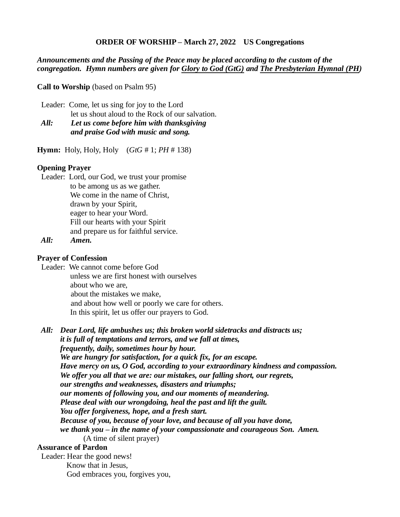#### **ORDER OF WORSHIP – March 27, 2022 US Congregations**

### *Announcements and the Passing of the Peace may be placed according to the custom of the congregation. Hymn numbers are given for Glory to God (GtG) and The Presbyterian Hymnal (PH)*

**Call to Worship** (based on Psalm 95)

 Leader: Come, let us sing for joy to the Lord let us shout aloud to the Rock of our salvation.

# *All: Let us come before him with thanksgiving and praise God with music and song.*

**Hymn:** Holy, Holy, Holy (*GtG* # 1; *PH* # 138)

#### **Opening Prayer**

 Leader: Lord, our God, we trust your promise to be among us as we gather. We come in the name of Christ, drawn by your Spirit, eager to hear your Word. Fill our hearts with your Spirit and prepare us for faithful service.

*All: Amen.* 

#### **Prayer of Confession**

 Leader: We cannot come before God unless we are first honest with ourselves about who we are, about the mistakes we make, and about how well or poorly we care for others. In this spirit, let us offer our prayers to God.

 *All: Dear Lord, life ambushes us; this broken world sidetracks and distracts us; it is full of temptations and terrors, and we fall at times, frequently, daily, sometimes hour by hour. We are hungry for satisfaction, for a quick fix, for an escape. Have mercy on us, O God, according to your extraordinary kindness and compassion. We offer you all that we are: our mistakes, our falling short, our regrets, our strengths and weaknesses, disasters and triumphs; our moments of following you, and our moments of meandering. Please deal with our wrongdoing, heal the past and lift the guilt. You offer forgiveness, hope, and a fresh start. Because of you, because of your love, and because of all you have done, we thank you – in the name of your compassionate and courageous Son. Amen.* (A time of silent prayer) **Assurance of Pardon** Leader: Hear the good news! Know that in Jesus,

God embraces you, forgives you,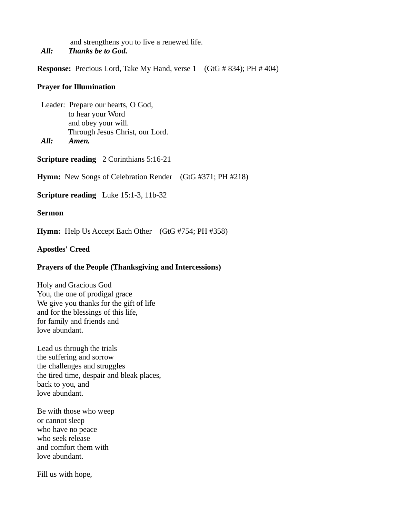and strengthens you to live a renewed life. *All: Thanks be to God.*

**Response:** Precious Lord, Take My Hand, verse 1 (GtG # 834); PH # 404)

#### **Prayer for Illumination**

 Leader: Prepare our hearts, O God, to hear your Word and obey your will. Through Jesus Christ, our Lord. *All: Amen.*

**Scripture reading** 2 Corinthians 5:16-21

**Hymn:** New Songs of Celebration Render (GtG #371; PH #218)

**Scripture reading** Luke 15:1-3, 11b-32

### **Sermon**

**Hymn:** Help Us Accept Each Other (GtG #754; PH #358)

## **Apostles' Creed**

### **Prayers of the People (Thanksgiving and Intercessions)**

Holy and Gracious God You, the one of prodigal grace We give you thanks for the gift of life and for the blessings of this life, for family and friends and love abundant.

Lead us through the trials the suffering and sorrow the challenges and struggles the tired time, despair and bleak places, back to you, and love abundant.

Be with those who weep or cannot sleep who have no peace who seek release and comfort them with love abundant.

Fill us with hope,